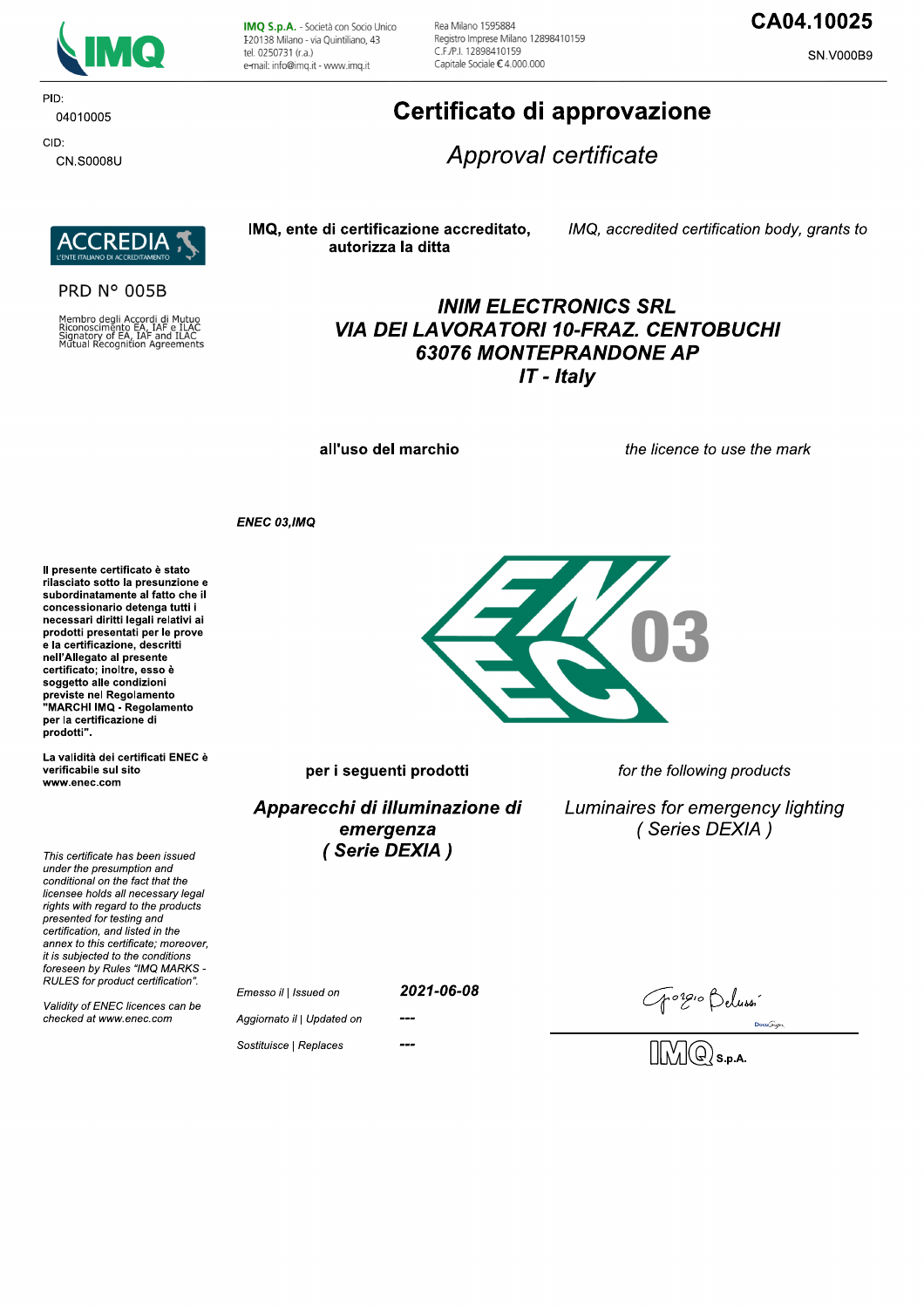

**PID** 04010005

CID: CN.S0008U IMQ S.p.A. - Società con Socio Unico I 20138 Milano - via Quintiliano, 43 tel. 0250731 (r.a.) e-mail: info@imq.it - www.imq.it

Rea Milano 1595884 Registro Imprese Milano 12898410159 C F /P | 12898410159 Capitale Sociale €4.000.000

# CA04.10025

**SN.V000B9** 

# Certificato di approvazione

Approval certificate



**PRD N° 005B** 

Membro degli Accordi di Mutuo<br>Riconoscimento EA, IAF e ILAC<br>Signatory of EA, IAF and ILAC<br>Mutual Recognition Agreements

## IMQ, ente di certificazione accreditato, autorizza la ditta

IMQ, accredited certification body, grants to

# **INIM ELECTRONICS SRL VIA DEI LAVORATORI 10-FRAZ. CENTOBUCHI 63076 MONTEPRANDONE AP**  $IT$  - Italy

all'uso del marchio

the licence to use the mark

ENEC 03, IMQ

Il presente certificato è stato rilasciato sotto la presunzione e subordinatamente al fatto che il concessionario detenga tutti i necessari diritti legali relativi ai prodotti presentati per le prove e la certificazione, descritti nell'Allegato al presente certificato; inoltre, esso è soggetto alle condizioni<br>previste nel Regolamento "MARCHI IMQ - Regolamento per la certificazione di prodotti".

La validità dei certificati ENEC è verificabile sul sito www.enec.com

This certificate has been issued under the presumption and conditional on the fact that the licensee holds all necessary legal rights with regard to the products presented for testing and certification and listed in the annex to this certificate: moreover. it is subjected to the conditions foreseen by Rules "IMQ MARKS -RULES for product certification".

Validity of ENEC licences can be checked at www.enec.com



per i seguenti prodotti

Apparecchi di illuminazione di emergenza (Serie DEXIA)

for the following products

Luminaires for emergency lighting (Series DEXIA)

Emesso il | Issued on

2021-06-08

Gongio Beluss<sup>.</sup><br>DMQ s.p.a.

Aggiornato il | Updated on Sostituisce | Replaces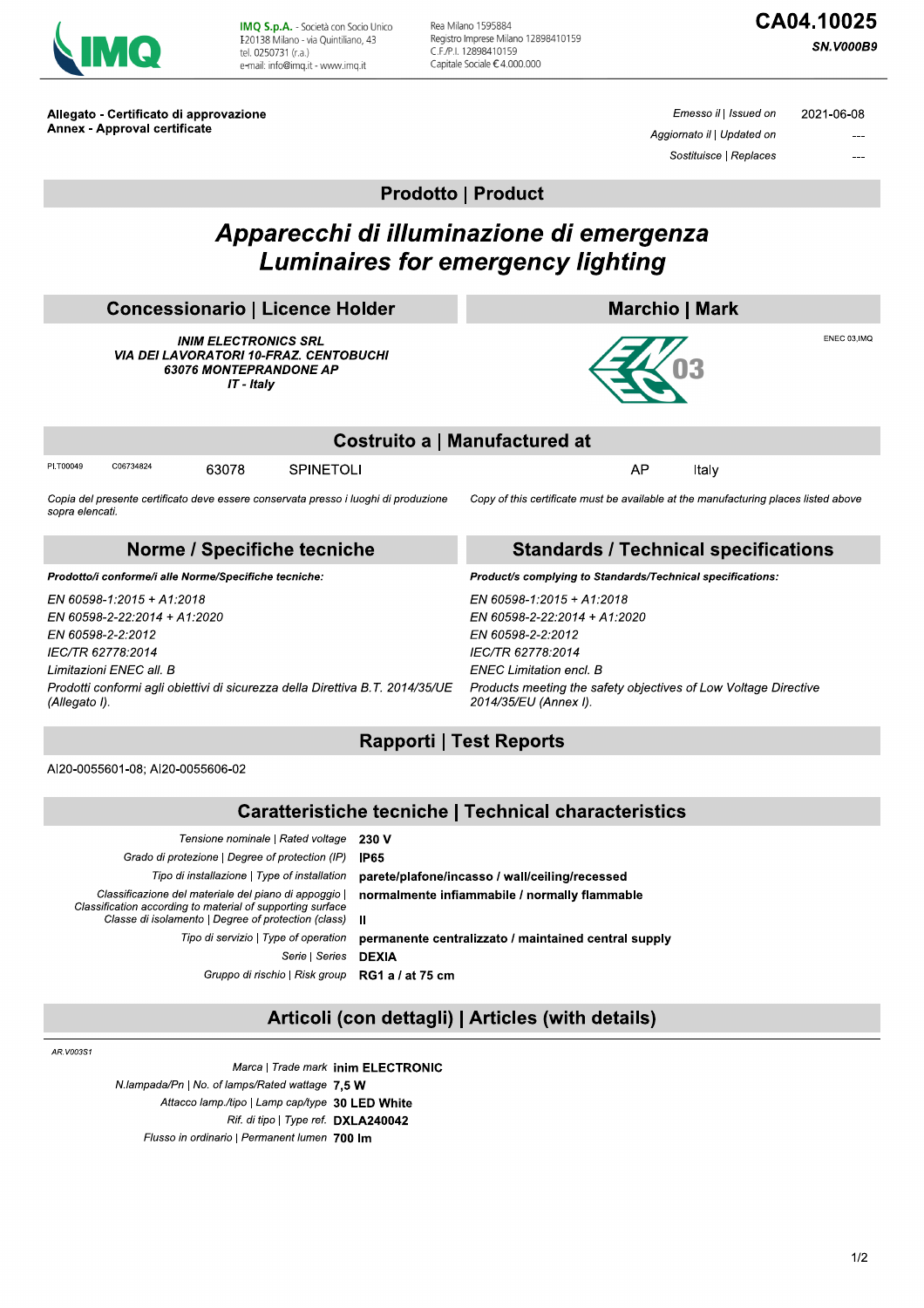

IMQ S.p.A. - Società con Socio Unico I 20138 Milano - via Quintiliano, 43 tel. 0250731 (r.a.) e-mail: info@imq.it - www.imq.it

Rea Milano 1595884 Registro Imprese Milano 12898410159 C.F./P.I. 12898410159 Capitale Sociale €4.000.000

**SN.V000B9** 

Allegato - Certificato di approvazione Annex - Approval certificate

Emesso il | Issued on 2021-06-08 Aggiornato il | Updated on Sostituisce | Replaces

**Prodotto | Product** 

# Apparecchi di illuminazione di emergenza **Luminaires for emergency lighting**

| <b>Concessionario   Licence Holder</b>                                                                                      |           |       |                                                                                     | <b>Marchio   Mark</b>                                                               |  |  |  |  |
|-----------------------------------------------------------------------------------------------------------------------------|-----------|-------|-------------------------------------------------------------------------------------|-------------------------------------------------------------------------------------|--|--|--|--|
| <b>INIM ELECTRONICS SRL</b><br><b>VIA DEI LAVORATORI 10-FRAZ. CENTOBUCHI</b><br><b>63076 MONTEPRANDONE AP</b><br>IT - Italy |           |       |                                                                                     | ENEC 03.IMQ                                                                         |  |  |  |  |
| Costruito a   Manufactured at                                                                                               |           |       |                                                                                     |                                                                                     |  |  |  |  |
| PI.T00049                                                                                                                   | C06734824 | 63078 | <b>SPINETOLI</b>                                                                    | AP<br>Italy                                                                         |  |  |  |  |
| sopra elencati.                                                                                                             |           |       | Copia del presente certificato deve essere conservata presso i luoghi di produzione | Copy of this certificate must be available at the manufacturing places listed above |  |  |  |  |
| Norme / Specifiche tecniche                                                                                                 |           |       |                                                                                     | <b>Standards / Technical specifications</b>                                         |  |  |  |  |
| Prodotto/i conforme/i alle Norme/Specifiche tecniche:                                                                       |           |       |                                                                                     | Product/s complying to Standards/Technical specifications:                          |  |  |  |  |
| EN 60598-1:2015 + A1:2018                                                                                                   |           |       |                                                                                     | EN 60598-1:2015 + A1:2018                                                           |  |  |  |  |
| EN 60598-2-22:2014 + A1:2020                                                                                                |           |       |                                                                                     | EN 60598-2-22:2014 + A1:2020                                                        |  |  |  |  |
| EN 60598-2-2:2012                                                                                                           |           |       |                                                                                     | EN 60598-2-2:2012                                                                   |  |  |  |  |
| IEC/TR 62778:2014                                                                                                           |           |       |                                                                                     | IEC/TR 62778:2014                                                                   |  |  |  |  |

IE Limitazioni ENEC all. B Prodotti conformi agli obiettivi di sicurezza della Direttiva B.T. 2014/35/UE (Allegato I).

**ENEC Limitation encl. B** Products meeting the safety objectives of Low Voltage Directive 2014/35/EU (Annex I).

# **Rapporti | Test Reports**

AI20-0055601-08; AI20-0055606-02

| Tensione nominale   Rated voltage                                                                                   | 230 V                                                |
|---------------------------------------------------------------------------------------------------------------------|------------------------------------------------------|
| Grado di protezione   Degree of protection (IP)                                                                     | <b>IP65</b>                                          |
| Tipo di installazione   Type of installation                                                                        | parete/plafone/incasso / wall/ceiling/recessed       |
| Classificazione del materiale del piano di appoggio  <br>Classification according to material of supporting surface | normalmente infiammabile / normally flammable        |
| Classe di isolamento   Degree of protection (class)                                                                 |                                                      |
| Tipo di servizio   Type of operation                                                                                | permanente centralizzato / maintained central supply |
| Serie   Series                                                                                                      | <b>DEXIA</b>                                         |
| Gruppo di rischio   Risk group <b>RG1 a / at 75 cm</b>                                                              |                                                      |
|                                                                                                                     |                                                      |

## Articoli (con dettagli) | Articles (with details)

AR.V003S1

Marca | Trade mark inim ELECTRONIC N.lampada/Pn | No. of lamps/Rated wattage 7,5 W Attacco lamp./tipo | Lamp cap/type 30 LED White Rif. di tipo | Type ref. DXLA240042 Flusso in ordinario | Permanent lumen 700 Im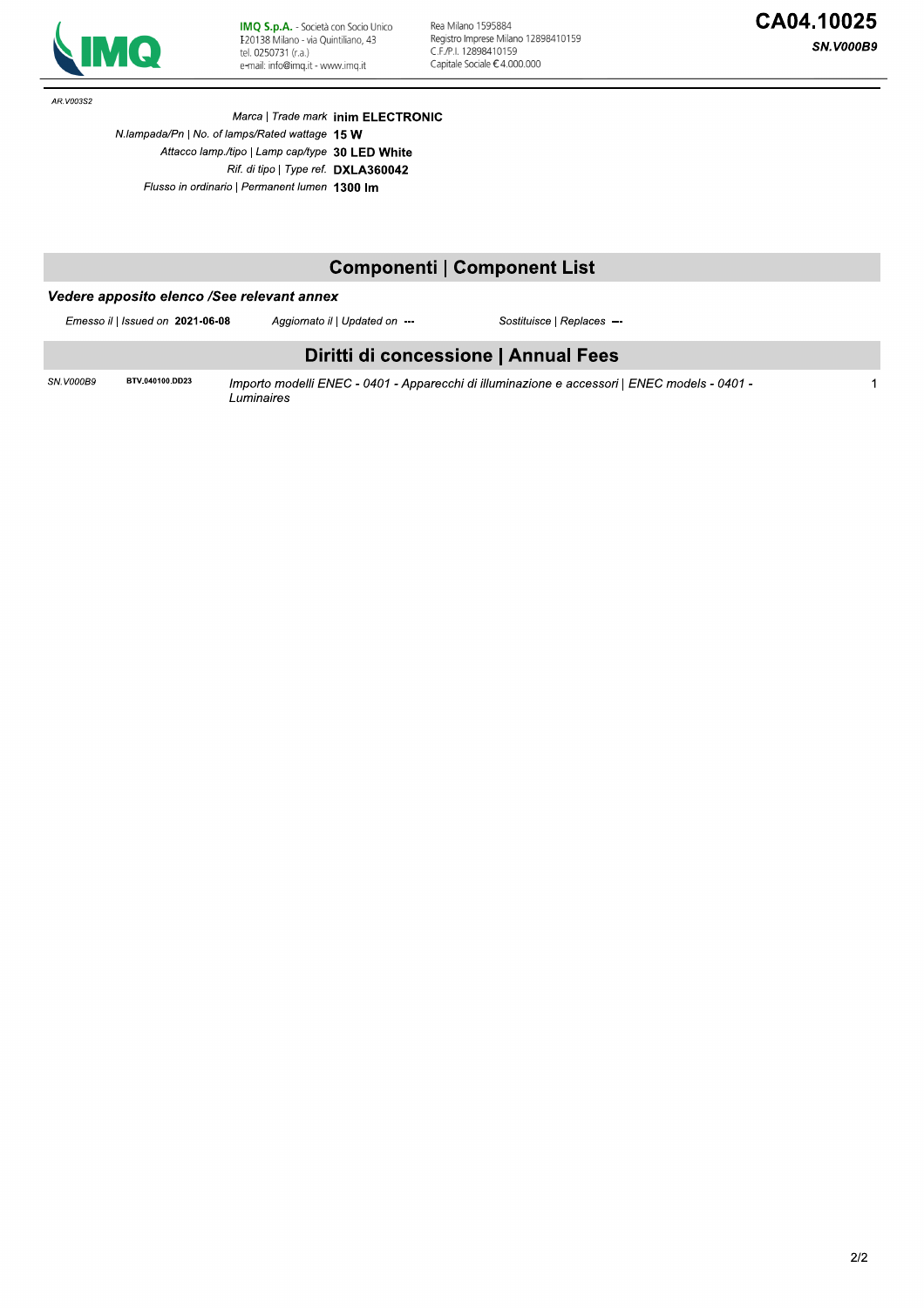

Rea Milano 1595884 Registro Imprese Milano 12898410159<br>C.F./P.I. 12898410159 Capitale Sociale  $\epsilon$  4.000.000

AR.V003S2

Marca | Trade mark inim ELECTRONIC N.lampada/Pn | No. of lamps/Rated wattage 15 W Attacco lamp./tipo | Lamp cap/type 30 LED White Rif. di tipo | Type ref. DXLA360042 Flusso in ordinario | Permanent lumen 1300 Im

# **Componenti | Component List**

## Vedere apposito elenco /See relevant annex

Emesso il | Issued on 2021-06-08

BTV.040100.DD23

Sostituisce | Replaces ---

## Diritti di concessione | Annual Fees

SN.V000B9

Importo modelli ENEC - 0401 - Apparecchi di illuminazione e accessori | ENEC models - 0401 -Luminaires

Aggiornato il | Updated on ---

 $\overline{1}$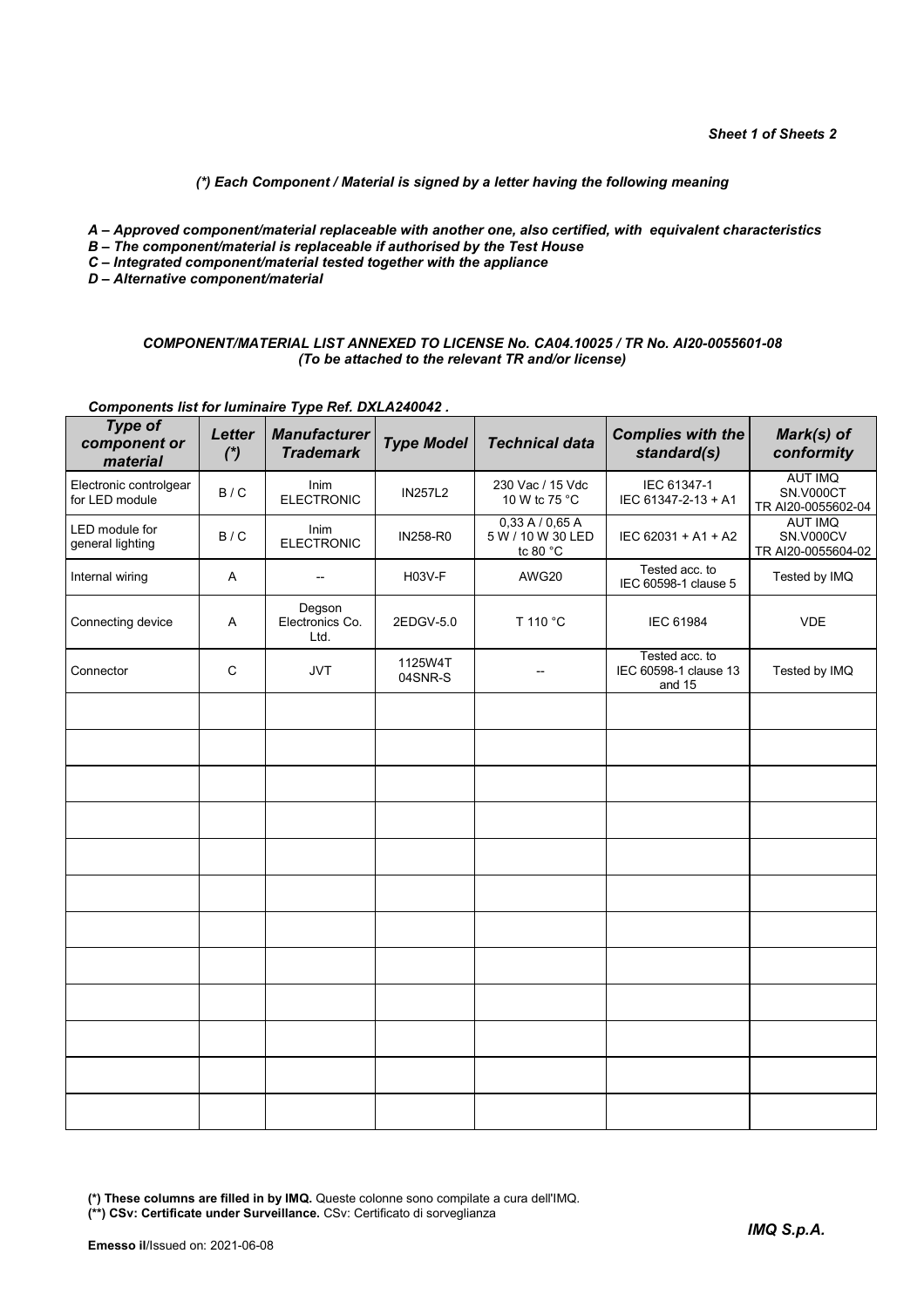### *(\*) Each Component / Material is signed by a letter having the following meaning*

- *A Approved component/material replaceable with another one, also certified, with equivalent characteristics*
- *B The component/material is replaceable if authorised by the Test House*
- *C Integrated component/material tested together with the appliance*
- *D Alternative component/material*

#### *COMPONENT/MATERIAL LIST ANNEXED TO LICENSE No. CA04.10025 / TR No. AI20-0055601-08 (To be attached to the relevant TR and/or license)*

## *Components list for luminaire Type Ref. DXLA240042 .*

| <b>Type of</b><br>component or<br>material | <b>Letter</b><br>$*$ | <b>Manufacturer</b><br><b>Trademark</b> | <b>Type Model</b>  | <b>Technical data</b>                                  | <b>Complies with the</b><br>standard(s)           | Mark(s) of<br>conformity                          |
|--------------------------------------------|----------------------|-----------------------------------------|--------------------|--------------------------------------------------------|---------------------------------------------------|---------------------------------------------------|
| Electronic controlgear<br>for LED module   | B / C                | <b>Inim</b><br><b>ELECTRONIC</b>        | <b>IN257L2</b>     | 230 Vac / 15 Vdc<br>10 W tc 75 °C                      | IEC 61347-1<br>IEC 61347-2-13 + A1                | <b>AUT IMQ</b><br>SN.V000CT<br>TR AI20-0055602-04 |
| LED module for<br>general lighting         | B/C                  | Inim<br><b>ELECTRONIC</b>               | IN258-R0           | 0,33A/0,65A<br>5 W / 10 W 30 LED<br>tc 80 $^{\circ}$ C | IEC 62031 + A1 + A2                               | <b>AUT IMQ</b><br>SN.V000CV<br>TR AI20-0055604-02 |
| Internal wiring                            | A                    | $\overline{\phantom{a}}$                | H03V-F             | AWG20                                                  | Tested acc. to<br>IEC 60598-1 clause 5            | Tested by IMQ                                     |
| Connecting device                          | A                    | Degson<br>Electronics Co.<br>Ltd.       | 2EDGV-5.0          | T 110 °C                                               | IEC 61984                                         | <b>VDE</b>                                        |
| Connector                                  | C                    | <b>JVT</b>                              | 1125W4T<br>04SNR-S |                                                        | Tested acc. to<br>IEC 60598-1 clause 13<br>and 15 | Tested by IMQ                                     |
|                                            |                      |                                         |                    |                                                        |                                                   |                                                   |
|                                            |                      |                                         |                    |                                                        |                                                   |                                                   |
|                                            |                      |                                         |                    |                                                        |                                                   |                                                   |
|                                            |                      |                                         |                    |                                                        |                                                   |                                                   |
|                                            |                      |                                         |                    |                                                        |                                                   |                                                   |
|                                            |                      |                                         |                    |                                                        |                                                   |                                                   |
|                                            |                      |                                         |                    |                                                        |                                                   |                                                   |
|                                            |                      |                                         |                    |                                                        |                                                   |                                                   |
|                                            |                      |                                         |                    |                                                        |                                                   |                                                   |
|                                            |                      |                                         |                    |                                                        |                                                   |                                                   |
|                                            |                      |                                         |                    |                                                        |                                                   |                                                   |
|                                            |                      |                                         |                    |                                                        |                                                   |                                                   |

**(\*) These columns are filled in by IMQ.** Queste colonne sono compilate a cura dell'IMQ.

**(\*\*) CSv: Certificate under Surveillance.** CSv: Certificato di sorveglianza